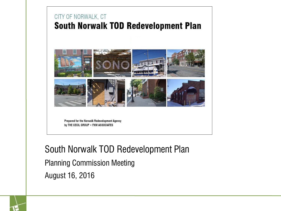#### CITY OF NORWALK, CT **South Norwalk TOD Redevelopment Plan**



Prepared for the Norwalk Redevelopment Agency by THE CECIL GROUP . FXM ASSOCIATES

South Norwalk TOD Redevelopment Plan

Planning Commission Meeting

August 16, 2016

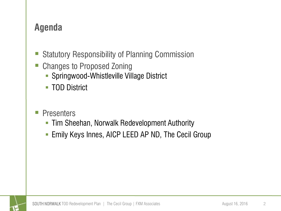# **Agenda**

- Statutory Responsibility of Planning Commission
- Changes to Proposed Zoning
	- **Springwood-Whistleville Village District**
	- **TOD District**
- **Presenters** 
	- **Tim Sheehan, Norwalk Redevelopment Authority**
	- **Emily Keys Innes, AICP LEED AP ND, The Cecil Group**

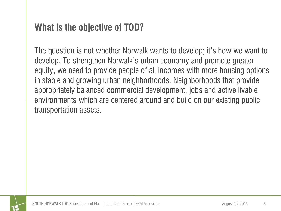# **What is the objective of TOD?**

The question is not whether Norwalk wants to develop; it's how we want to develop. To strengthen Norwalk's urban economy and promote greater equity, we need to provide people of all incomes with more housing options in stable and growing urban neighborhoods. Neighborhoods that provide appropriately balanced commercial development, jobs and active livable environments which are centered around and build on our existing public transportation assets.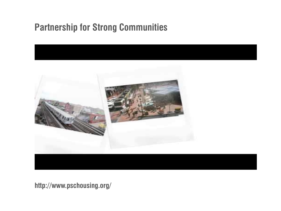# **Partnership for Strong Communities**



**http://www.pschousing.org/**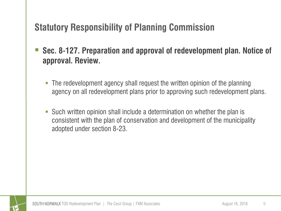# **Statutory Responsibility of Planning Commission**

- **Sec. 8-127. Preparation and approval of redevelopment plan. Notice of approval. Review.**
	- The redevelopment agency shall request the written opinion of the planning agency on all redevelopment plans prior to approving such redevelopment plans.
	- Such written opinion shall include a determination on whether the plan is consistent with the plan of conservation and development of the municipality adopted under section 8-23.

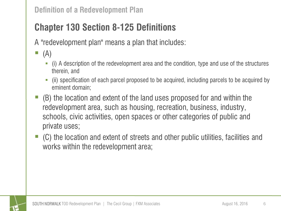# **Chapter 130 Section 8-125 Definitions**

A "redevelopment plan" means a plan that includes:

- $\blacksquare$  (A)
	- (i) A description of the redevelopment area and the condition, type and use of the structures therein, and
	- (ii) specification of each parcel proposed to be acquired, including parcels to be acquired by eminent domain;
- $\blacksquare$  (B) the location and extent of the land uses proposed for and within the redevelopment area, such as housing, recreation, business, industry, schools, civic activities, open spaces or other categories of public and private uses;
- (C) the location and extent of streets and other public utilities, facilities and works within the redevelopment area;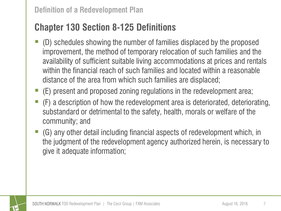# **Chapter 130 Section 8-125 Definitions**

- (D) schedules showing the number of families displaced by the proposed improvement, the method of temporary relocation of such families and the availability of sufficient suitable living accommodations at prices and rentals within the financial reach of such families and located within a reasonable distance of the area from which such families are displaced;
- (E) present and proposed zoning regulations in the redevelopment area;
- $\blacksquare$  (F) a description of how the redevelopment area is deteriorated, deteriorating, substandard or detrimental to the safety, health, morals or welfare of the community; and
- (G) any other detail including financial aspects of redevelopment which, in the judgment of the redevelopment agency authorized herein, is necessary to give it adequate information;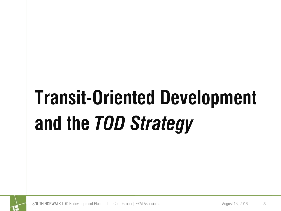# **Transit-Oriented Development and the** *TOD Strategy*



SOUTH NORWALK TOD Redevelopment Plan | The Cecil Group | FXM Associates August 16, 2016 8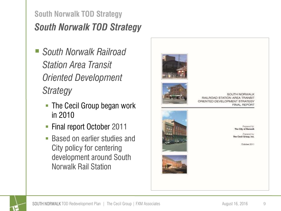# *South Norwalk TOD Strategy* **South Norwalk TOD Strategy**

- *South Norwalk Railroad Station Area Transit Oriented Development Strategy*
	- **The Cecil Group began work** in 2010
	- **Final report October 2011**
	- Based on earlier studies and City policy for centering development around South Norwalk Rail Station



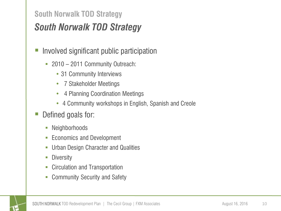### **South Norwalk TOD Strategy**

# *South Norwalk TOD Strategy*

- **Involved significant public participation** 
	- 2010 2011 Community Outreach:
		- 31 Community Interviews
		- 7 Stakeholder Meetings
		- 4 Planning Coordination Meetings
		- 4 Community workshops in English, Spanish and Creole
- Defined goals for:
	- Neighborhoods
	- **Economics and Development**
	- Urban Design Character and Qualities
	- **Diversity**
	- **-** Circulation and Transportation
	- **Community Security and Safety**

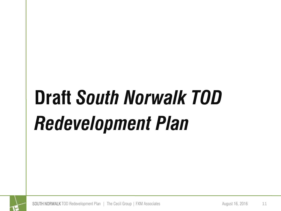# **Draft** *South Norwalk TOD Redevelopment Plan*



SOUTH NORWALK TOD Redevelopment Plan | The Cecil Group | FXM Associates August 16, 2016 11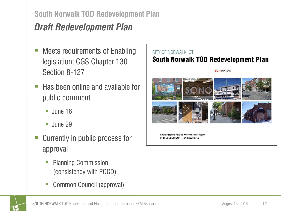#### **South Norwalk TOD Redevelopment Plan**

# *Draft Redevelopment Plan*

- Meets requirements of Enabling legislation: CGS Chapter 130 Section 8-127
- $\blacksquare$  Has been online and available for public comment
	- $\blacksquare$  June 16
	- $\blacksquare$  June 29
- Currently in public process for approval
	- Planning Commission (consistency with POCD)
	- Common Council (approval)

#### CITY OF NORWALK, CT **South Norwalk TOD Redevelopment Plan**





Prepared for the Norwalk Redevelopment Agency by THE CECIL GROUP . FXM ASSOCIATES

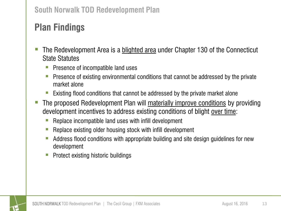# **Plan Findings**

- The Redevelopment Area is a blighted area under Chapter 130 of the Connecticut State Statutes
	- **Presence of incompatible land uses**
	- **Presence of existing environmental conditions that cannot be addressed by the private** market alone
	- Existing flood conditions that cannot be addressed by the private market alone
- The proposed Redevelopment Plan will materially improve conditions by providing development incentives to address existing conditions of blight over time:
	- $\blacksquare$  Replace incompatible land uses with infill development
	- Replace existing older housing stock with infill development
	- Address flood conditions with appropriate building and site design guidelines for new development
	- **Protect existing historic buildings**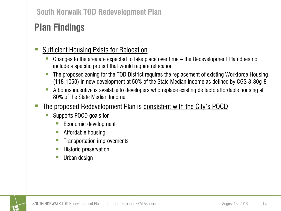#### **South Norwalk TOD Redevelopment Plan**

# **Plan Findings**

#### Sufficient Housing Exists for Relocation

- Changes to the area are expected to take place over time the Redevelopment Plan does not include a specific project that would require relocation
- The proposed zoning for the TOD District requires the replacement of existing Workforce Housing (118-1050) in new development at 50% of the State Median Income as defined by CGS 8-30g-8
- A bonus incentive is available to developers who replace existing de facto affordable housing at 80% of the State Median Income
- **The proposed Redevelopment Plan is consistent with the City's POCD** 
	- Supports POCD goals for
		- **Economic development**
		- **Affordable housing**
		- **Transportation improvements**
		- **Historic preservation**
		- Urban design

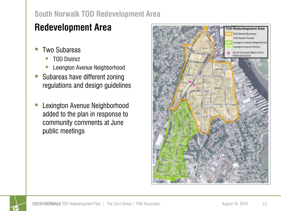#### **South Norwalk TOD Redevelopment Area**

# **Redevelopment Area**

- Two Subareas
	- TOD District
	- Lexington Avenue Neighborhood
- Subareas have different zoning regulations and design guidelines
- Lexington Avenue Neighborhood added to the plan in response to community comments at June public meetings

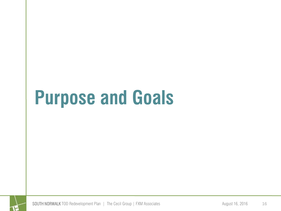# **Purpose and Goals**

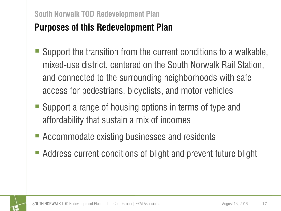#### **South Norwalk TOD Redevelopment Plan**

# **Purposes of this Redevelopment Plan**

- Support the transition from the current conditions to a walkable, mixed-use district, centered on the South Norwalk Rail Station, and connected to the surrounding neighborhoods with safe access for pedestrians, bicyclists, and motor vehicles
- Support a range of housing options in terms of type and affordability that sustain a mix of incomes
- Accommodate existing businesses and residents
- Address current conditions of blight and prevent future blight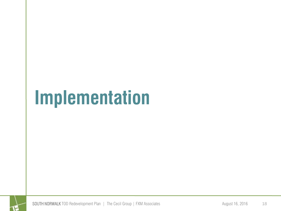# **Implementation**

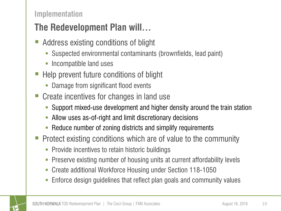#### **Implementation**

# **The Redevelopment Plan will…**

- Address existing conditions of blight
	- Suspected environmental contaminants (brownfields, lead paint)
	- Incompatible land uses
- Help prevent future conditions of blight
	- Damage from significant flood events
- Create incentives for changes in land use
	- Support mixed-use development and higher density around the train station
	- Allow uses as-of-right and limit discretionary decisions
	- **-** Reduce number of zoning districts and simplify requirements
- **Protect existing conditions which are of value to the community** 
	- Provide incentives to retain historic buildings
	- Preserve existing number of housing units at current affordability levels
	- Create additional Workforce Housing under Section 118-1050
	- Enforce design guidelines that reflect plan goals and community values

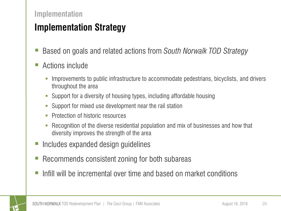#### **Implementation**

# **Implementation Strategy**

- Based on goals and related actions from *South Norwalk TOD Strategy*
- Actions include
	- Improvements to public infrastructure to accommodate pedestrians, bicyclists, and drivers throughout the area
	- Support for a diversity of housing types, including affordable housing
	- Support for mixed use development near the rail station
	- Protection of historic resources
	- Recognition of the diverse residential population and mix of businesses and how that diversity improves the strength of the area
- Includes expanded design guidelines
- Recommends consistent zoning for both subareas
- Infill will be incremental over time and based on market conditions

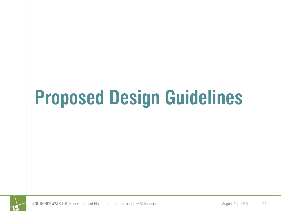# **Proposed Design Guidelines**



SOUTH NORWALK TOD Redevelopment Plan | The Cecil Group | FXM Associates August 16, 2016 21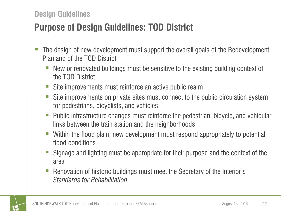#### **Design Guidelines**

# **Purpose of Design Guidelines: TOD District**

- The design of new development must support the overall goals of the Redevelopment Plan and of the TOD District
	- New or renovated buildings must be sensitive to the existing building context of the TOD District
	- Site improvements must reinforce an active public realm
	- Site improvements on private sites must connect to the public circulation system for pedestrians, bicyclists, and vehicles
	- Public infrastructure changes must reinforce the pedestrian, bicycle, and vehicular links between the train station and the neighborhoods
	- Within the flood plain, new development must respond appropriately to potential flood conditions
	- Signage and lighting must be appropriate for their purpose and the context of the area
	- Renovation of historic buildings must meet the Secretary of the Interior's *Standards for Rehabilitation*

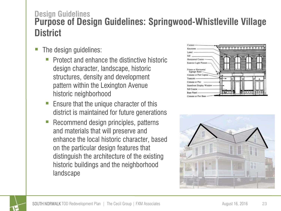### **Purpose of Design Guidelines: Springwood-Whistleville Village District Design Guidelines**

- The design guidelines:
	- Protect and enhance the distinctive historic design character, landscape, historic structures, density and development pattern within the Lexington Avenue historic neighborhood
	- Ensure that the unique character of this district is maintained for future generations
	- Recommend design principles, patterns and materials that will preserve and enhance the local historic character, based on the particular design features that distinguish the architecture of the existing historic buildings and the neighborhood landscape





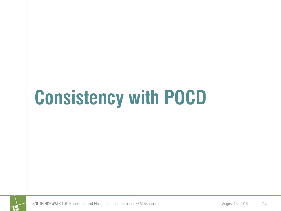

SOUTH NORWALK TOD Redevelopment Plan | The Cecil Group | FXM Associates August 16, 2016 24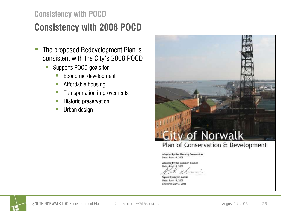# **Consistency with 2008 POCD**

- The proposed Redevelopment Plan is consistent with the City's 2008 POCD
	- Supports POCD goals for
		- **Economic development**
		- **Affordable housing**
		- **Transportation improvements**
		- **Historic preservation**
		- **Urban design**



Date: June 10, 2008

Adopted by the Common Council Date: June 10, 2008

Signed by Mayor Moccia Date: June 18, 2008 Effective: July 3, 2008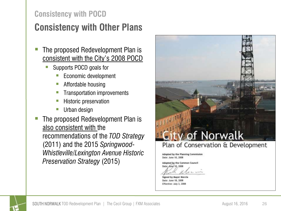# **Consistency with Other Plans**

- The proposed Redevelopment Plan is consistent with the City's 2008 POCD
	- Supports POCD goals for
		- **Economic development**
		- **Affordable housing**
		- Transportation improvements
		- Historic preservation
		- **Urban design**
- The proposed Redevelopment Plan is also consistent with the recommendations of the *TOD Strategy*  (2011) and the 2015 *Springwood-Whistleville/Lexington Avenue Historic Preservation Strategy* (2015)



Adopted by the Common Council Date: June 10, 2008

Signed by Mayor Moccia Date: June 18, 2008 Effective: July 3, 2008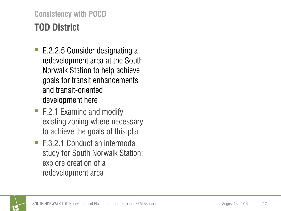# **TOD District Consistency with POCD**

- E.2.2.5 Consider designating a redevelopment area at the South Norwalk Station to help achieve goals for transit enhancements and transit-oriented development here
- F.2.1 Examine and modify existing zoning where necessary to achieve the goals of this plan
- F.3.2.1 Conduct an intermodal study for South Norwalk Station; explore creation of a redevelopment area

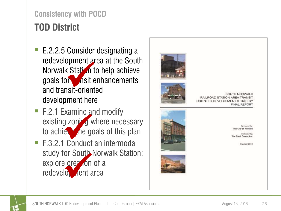# **TOD District Consistency with POCD**

- redevelopment area at the South Norwalk Station to help achieve goals for  $\bullet$  nsit enhancements and transit -oriented development here Spriteit and<br>Station to<br>Sit-orient
- F.2.1 Examine and modify existing zoning where necessary to achiest the goals of this plan
- F.3.2.1 Conduct an intermodal study for South Norwalk Station; explore creation of a redevelopment area Starting<br>of zon<sup>i</sup> gives<br>example of<br>conduct<br>or South<br>example of the starting<br>or south<br>in the starting



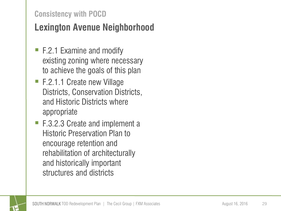# **Lexington Avenue Neighborhood**

- F.2.1 Examine and modify existing zoning where necessary to achieve the goals of this plan
- F.2.1.1 Create new Village Districts, Conservation Districts, and Historic Districts where appropriate
- F.3.2.3 Create and implement a Historic Preservation Plan to encourage retention and rehabilitation of architecturally and historically important structures and districts

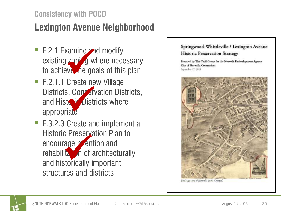# **Lexington Avenue Neighborhood**

- existing  $\mathsf{zop}$  is a where necessary to achieve the goals of this plan
- F.2.1.1 Create new Village Districts, Conservation Districts, and Historic Districts where appropriate xamine<br>
zoni g w<br>
eve .ne go<br>
Create ne<br>
s, Con .er<br>
te .Distr
- F.3.2.3 Create and implement a Historic Preservation Plan to encourage *r* ention and rehabilita<sup>v</sup> in of architecturally and historically important structures and districts c Preserve<br>
age *r* den<br>
ital in of



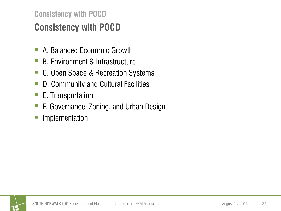# **Consistency with POCD Consistency with POCD**

- A. Balanced Economic Growth
- B. Environment & Infrastructure
- C. Open Space & Recreation Systems
- D. Community and Cultural Facilities
- E. Transportation
- F. Governance, Zoning, and Urban Design
- **Implementation**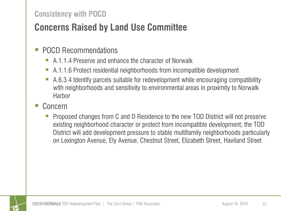# **Concerns Raised by Land Use Committee**

#### POCD Recommendations

- A.1.1.4 Preserve and enhance the character of Norwalk
- A.1.1.6 Protect residential neighborhoods from incompatible development
- A.6.3.4 Identify parcels suitable for redevelopment while encouraging compatibility with neighborhoods and sensitivity to environmental areas in proximity to Norwalk **Harbor**
- Concern
	- Proposed changes from C and D Residence to the new TOD District will not preserve existing neighborhood character or protect from incompatible development; the TOD District will add development pressure to stable multifamily neighborhoods particularly on Lexington Avenue, Ely Avenue, Chestnut Street, Elizabeth Street, Haviland Street

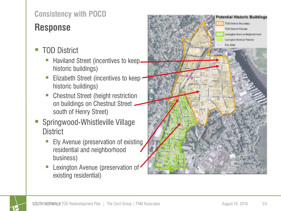# **Response**

- TOD District
	- Haviland Street (incentives to keep historic buildings)
	- Elizabeth Street (incentives to keep historic buildings)
	- Chestnut Street (height restriction on buildings on Chestnut Street south of Henry Street)
- Springwood-Whistleville Village **District** 
	- **Ely Avenue (preservation of existing)** residential and neighborhood business)
	- Lexington Avenue (preservation of existing residential)



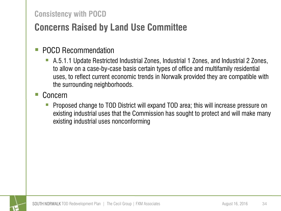# **Concerns Raised by Land Use Committee**

#### POCD Recommendation

 A.5.1.1 Update Restricted Industrial Zones, Industrial 1 Zones, and Industrial 2 Zones, to allow on a case-by-case basis certain types of office and multifamily residential uses, to reflect current economic trends in Norwalk provided they are compatible with the surrounding neighborhoods.

#### Concern

 Proposed change to TOD District will expand TOD area; this will increase pressure on existing industrial uses that the Commission has sought to protect and will make many existing industrial uses nonconforming

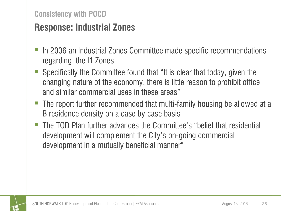### **Response: Industrial Zones**

- In 2006 an Industrial Zones Committee made specific recommendations regarding the I1 Zones
- Specifically the Committee found that "It is clear that today, given the changing nature of the economy, there is little reason to prohibit office and similar commercial uses in these areas"
- The report further recommended that multi-family housing be allowed at a B residence density on a case by case basis
- The TOD Plan further advances the Committee's "belief that residential development will complement the City's on-going commercial development in a mutually beneficial manner"

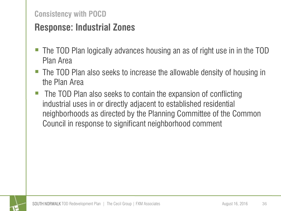# **Response: Industrial Zones**

- The TOD Plan logically advances housing an as of right use in in the TOD Plan Area
- The TOD Plan also seeks to increase the allowable density of housing in the Plan Area
- The TOD Plan also seeks to contain the expansion of conflicting industrial uses in or directly adjacent to established residential neighborhoods as directed by the Planning Committee of the Common Council in response to significant neighborhood comment

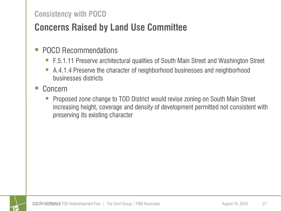# **Concerns Raised by Land Use Committee**

#### **POCD Recommendations**

- F.5.1.11 Preserve architectural qualities of South Main Street and Washington Street
- A.4.1.4 Preserve the character of neighborhood businesses and neighborhood businesses districts

#### Concern

 Proposed zone change to TOD District would revise zoning on South Main Street increasing height, coverage and density of development permitted not consistent with preserving its existing character

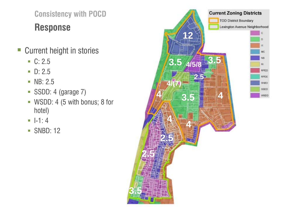**Response Consistency with POCD**

- Current height in stories
	- $C: 2.5$
	- $\blacksquare$  D: 2.5
	- **NB**: 2.5
	- SSDD: 4 (garage 7)
	- WSDD: 4 (5 with bonus; 8 for hotel)
	- $-1: 4$
	- SNBD: 12

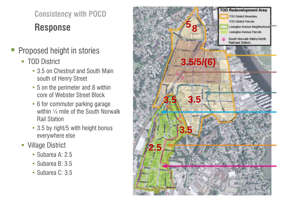**Response Consistency with POCD**

- Proposed height in stories
	- **TOD District** 
		- 3.5 on Chestnut and South Main south of Henry Street
		- 5 on the perimeter and 8 within core of Webster Street Block
		- 6 for commuter parking garage within 1/4 mile of the South Norwalk Rail Station
		- 3.5 by right/5 with height bonus everywhere else
	- **Village District** 
		- Subarea A: 2.5
		- Subarea B: 3.5
		- Subarea C: 3.5

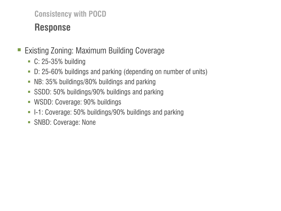# **Response**

- Existing Zoning: Maximum Building Coverage
	- C: 25-35% building
	- D: 25-60% buildings and parking (depending on number of units)
	- NB: 35% buildings/80% buildings and parking
	- **SSDD: 50% buildings/90% buildings and parking**
	- WSDD: Coverage: 90% buildings
	- **-** I-1: Coverage: 50% buildings/90% buildings and parking
	- **SNBD: Coverage: None**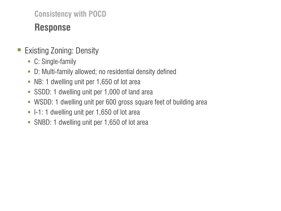# **Response**

### ■ Existing Zoning: Density

- C: Single-family
- D: Multi-family allowed; no residential density defined
- NB: 1 dwelling unit per 1,650 of lot area
- SSDD: 1 dwelling unit per 1,000 of land area
- WSDD: 1 dwelling unit per 600 gross square feet of building area
- I-1: 1 dwelling unit per 1,650 of lot area
- **SNBD: 1 dwelling unit per 1,650 of lot area**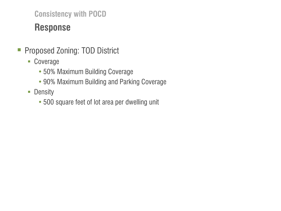# **Response**

- **Proposed Zoning: TOD District** 
	- Coverage
		- 50% Maximum Building Coverage
		- 90% Maximum Building and Parking Coverage
	- **Density** 
		- 500 square feet of lot area per dwelling unit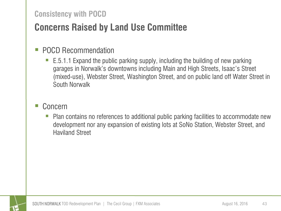# **Concerns Raised by Land Use Committee**

#### POCD Recommendation

 E.5.1.1 Expand the public parking supply, including the building of new parking garages in Norwalk's downtowns including Main and High Streets, Isaac's Street (mixed-use), Webster Street, Washington Street, and on public land off Water Street in South Norwalk

#### Concern

 Plan contains no references to additional public parking facilities to accommodate new development nor any expansion of existing lots at SoNo Station, Webster Street, and Haviland Street

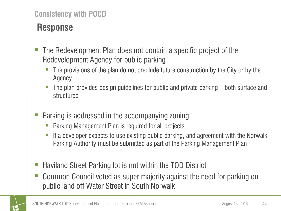# **Response**

- The Redevelopment Plan does not contain a specific project of the Redevelopment Agency for public parking
	- The provisions of the plan do not preclude future construction by the City or by the Agency
	- The plan provides design guidelines for public and private parking both surface and structured
- Parking is addressed in the accompanying zoning
	- Parking Management Plan is required for all projects
	- If a developer expects to use existing public parking, and agreement with the Norwalk Parking Authority must be submitted as part of the Parking Management Plan
- Haviland Street Parking lot is not within the TOD District
- Common Council voted as super majority against the need for parking on public land off Water Street in South Norwalk

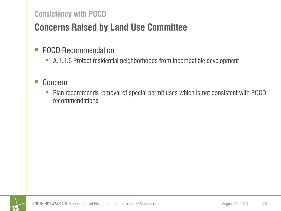# **Concerns Raised by Land Use Committee**

- **POCD Recommendation** 
	- A.1.1.6 Protect residential neighborhoods from incompatible development

#### ■ Concern

**Plan recommends removal of special permit uses which is not consistent with POCD** recommendations

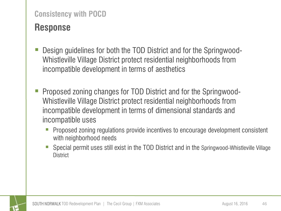### **Response**

- Design guidelines for both the TOD District and for the Springwood-Whistleville Village District protect residential neighborhoods from incompatible development in terms of aesthetics
- Proposed zoning changes for TOD District and for the Springwood-Whistleville Village District protect residential neighborhoods from incompatible development in terms of dimensional standards and incompatible uses
	- Proposed zoning regulations provide incentives to encourage development consistent with neighborhood needs
	- Special permit uses still exist in the TOD District and in the Springwood-Whistleville Village **District**

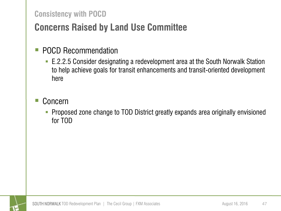# **Concerns Raised by Land Use Committee**

#### **POCD Recommendation**

 E.2.2.5 Consider designating a redevelopment area at the South Norwalk Station to help achieve goals for transit enhancements and transit-oriented development here

#### Concern

 Proposed zone change to TOD District greatly expands area originally envisioned for TOD

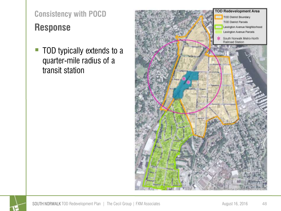# **Response Consistency with POCD**

■ TOD typically extends to a quarter-mile radius of a transit station